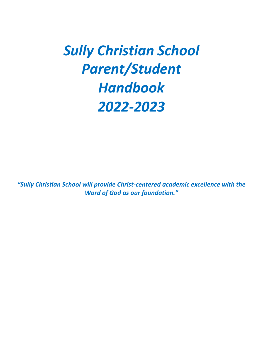# *Sully Christian School Parent/Student Handbook 2022-2023*

*"Sully Christian School will provide Christ-centered academic excellence with the Word of God as our foundation."*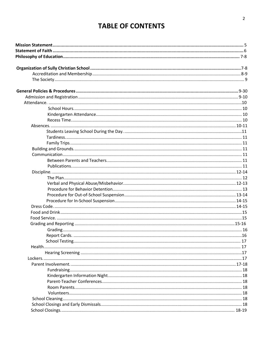# **TABLE OF CONTENTS**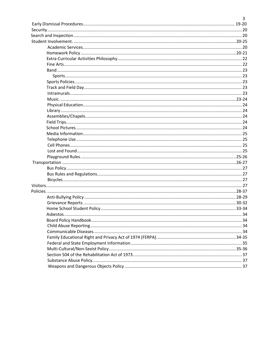| 3 |
|---|
|   |
|   |
|   |
|   |
|   |
|   |
|   |
|   |
|   |
|   |
|   |
|   |
|   |
|   |
|   |
|   |
|   |
|   |
|   |
|   |
|   |
|   |
|   |
|   |
|   |
|   |
|   |
|   |
|   |
|   |
|   |
|   |
|   |
|   |
|   |
|   |
|   |
|   |
|   |
|   |
|   |
|   |
|   |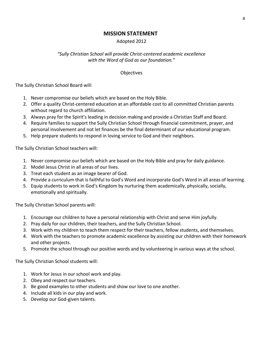### **MISSION STATEMENT**

### Adopted 2012

### <span id="page-3-0"></span>*"Sully Christian School will provide Christ-centered academic excellence with the Word of God as our foundation."*

### **Objectives**

The Sully Christian School Board will:

- 1. Never compromise our beliefs which are based on the Holy Bible.
- 2. Offer a quality Christ-centered education at an affordable cost to all committed Christian parents without regard to church affiliation.
- 3. Always pray for the Spirit's leading in decision making and provide a Christian Staff and Board.
- 4. Require families to support the Sully Christian School through financial commitment, prayer, and personal involvement and not let finances be the final determinant of our educational program.
- 5. Help prepare students to respond in loving service to God and their neighbors.

The Sully Christian School teachers will:

- 1. Never compromise our beliefs which are based on the Holy Bible and pray for daily guidance.
- 2. Model Jesus Christ in all areas of our lives.
- 3. Treat each student as an image bearer of God.
- 4. Provide a curriculum that is faithful to God's Word and incorporate God's Word in all areas of learning.
- 5. Equip students to work in God's Kingdom by nurturing them academically, physically, socially, emotionally and spiritually.

The Sully Christian School parents will:

- 1. Encourage our children to have a personal relationship with Christ and serve Him joyfully.
- 2. Pray daily for our children, their teachers, and the Sully Christian School.
- 3. Work with my children to teach them respect for their teachers, fellow students, and themselves.
- 4. Work with the teachers to promote academic excellence by assisting our children with their homework and other projects.
- 5. Promote the school through our positive words and by volunteering in various ways at the school.

The Sully Christian School students will:

- 1. Work for Jesus in our school work and play.
- 2. Obey and respect our teachers.
- 3. Be good examples to other students and show our love to one another.
- 4. Include all kids in our play and work.
- 5. Develop our God-given talents.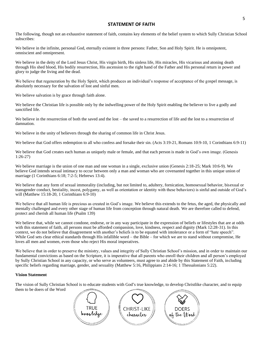#### **STATEMENT OF FAITH**

<span id="page-4-0"></span>The following, though not an exhaustive statement of faith, contains key elements of the belief system to which Sully Christian School subscribes:

We believe in the infinite, personal God, eternally existent in three persons: Father, Son and Holy Spirit. He is omnipotent, omniscient and omnipresent.

We believe in the deity of the Lord Jesus Christ, His virgin birth, His sinless life. His miracles, His vicarious and atoning death through His shed blood, His bodily resurrection, His ascension to the right hand of the Father and His personal return in power and glory to judge the living and the dead.

We believe that regeneration by the Holy Spirit, which produces an individual's response of acceptance of the gospel message, is absolutely necessary for the salvation of lost and sinful men.

We believe salvation is by grace through faith alone.

We believe the Christian life is possible only by the indwelling power of the Holy Spirit enabling the believer to live a godly and sanctified life.

We believe in the resurrection of both the saved and the lost – the saved to a resurrection of life and the lost to a resurrection of damnation.

We believe in the unity of believers through the sharing of common life in Christ Jesus.

We believe that God offers redemption to all who confess and forsake their sin. (Acts 3:19-21, Romans 10:9-10, 1 Corinthians 6:9-11)

We believe that God creates each human as uniquely male or female, and that each person is made in God's own image. (Genesis 1:26-27)

We believe marriage is the union of one man and one woman in a single, exclusive union (Genesis 2:18-25; Mark 10:6-9). We believe God intends sexual intimacy to occur between only a man and woman who are covenanted together in this unique union of marriage (1 Corinthians 6:18; 7:2-5; Hebrews 13:4).

We believe that any form of sexual immorality (including, but not limited to, adultery, fornication, homosexual behavior, bisexual or transgender conduct, bestiality, incest, polygamy, as well as orientation or identity with these behaviors) is sinful and outside of God's will (Matthew 15:18-20, 1 Corinthians 6:9-10)

We believe that all human life is precious as created in God's image. We believe this extends to the fetus, the aged, the physically and mentally challenged and every other stage of human life from conception through natural death. We are therefore called to defend, protect and cherish all human life (Psalm 139)

We believe that, while we cannot condone, endorse, or in any way participate in the expression of beliefs or lifestyles that are at odds with this statement of faith, all persons must be afforded compassion, love, kindness, respect and dignity (Mark 12:28-31). In this context, we do not believe that disagreement with another's beliefs is to be equated with intolerance or a form of "hate speech". While God sets clear ethical standards through His infallible word – the Bible – for which we are to stand without compromise, He loves all men and women, even those who reject His moral imperatives.

We believe that in order to preserve the ministry, values and integrity of Sully Christian School's mission, and in order to maintain our fundamental convictions as based on the Scripture, it is imperative that all parents who enroll their children and all person's employed by Sully Christian School in any capacity, or who serve as volunteers, must agree to and abide by this Statement of Faith, including specific beliefs regarding marriage, gender, and sexuality (Matthew 5:16, Philippians 2:14-16; 1 Thessalonians 5:22).

#### **Vision Statement**

The vision of Sully Christian School is to educate students with God's true knowledge, to develop Christlike character, and to equip them to be doers of the Word



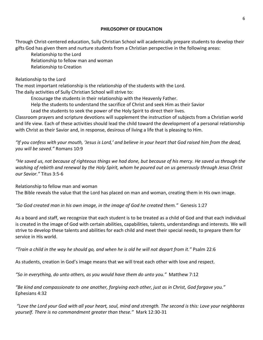### **PHILOSOPHY OF EDUCATION**

<span id="page-5-0"></span>Through Christ-centered education, Sully Christian School will academically prepare students to develop their gifts God has given them and nurture students from a Christian perspective in the following areas:

Relationship to the Lord Relationship to fellow man and woman Relationship to Creation

Relationship to the Lord

The most important relationship is the relationship of the students with the Lord.

The daily activities of Sully Christian School will strive to:

Encourage the students in their relationship with the Heavenly Father.

Help the students to understand the sacrifice of Christ and seek Him as their Savior

Lead the students to seek the power of the Holy Spirit to direct their lives.

Classroom prayers and scripture devotions will supplement the instruction of subjects from a Christian world and life view. Each of these activities should lead the child toward the development of a personal relationship with Christ as their Savior and, in response, desirous of living a life that is pleasing to Him.

*"If you confess with your mouth, 'Jesus is Lord,' and believe in your heart that God raised him from the dead, you will be saved."* Romans 10:9

*"He saved us, not because of righteous things we had done, but because of his mercy. He saved us through the washing of rebirth and renewal by the Holy Spirit, whom he poured out on us generously through Jesus Christ our Savior."* Titus 3:5-6

Relationship to fellow man and woman

The Bible reveals the value that the Lord has placed on man and woman, creating them in His own image.

*"So God created man in his own image, in the image of God he created them."* Genesis 1:27

As a board and staff, we recognize that each student is to be treated as a child of God and that each individual is created in the image of God with certain abilities, capabilities, talents, understandings and interests. We will strive to develop these talents and abilities for each child and meet their special needs, to prepare them for service in His world.

*"Train a child in the way he should go, and when he is old he will not depart from it."* Psalm 22:6

As students, creation in God's image means that we will treat each other with love and respect.

*"So in everything, do unto others, as you would have them do unto you."* Matthew 7:12

*"Be kind and compassionate to one another, forgiving each other, just as in Christ, God forgave you."* Ephesians 4:32

*"Love the Lord your God with all your heart, soul, mind and strength. The second is this: Love your neighboras yourself. There is no commandment greater than these."* Mark 12:30-31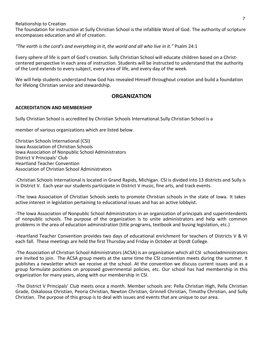Relationship to Creation

The foundation for instruction at Sully Christian School is the infallible Word of God. The authority of scripture encompasses education and all of creation.

*"The earth is the Lord's and everything in it, the world and all who live in it."* Psalm 24:1

Every sphere of life is part of God's creation. Sully Christian School will educate children based on a Christcentered perspective in each area of instruction. Students will be instructed to understand that the authority of the Lord extends to every subject, every area of life, and every day of the week.

We will help students understand how God has revealed Himself throughout creation and build a foundation for lifelong Christian service and stewardship.

### **ORGANIZATION**

### <span id="page-6-0"></span>**ACCREDITATION AND MEMBERSHIP**

Sully Christian School is accredited by Christian Schools International.Sully Christian School is a

member of various organizations which are listed below.

Christian Schools International (CSI) Iowa Association of Christian Schools Iowa Association of Nonpublic School Administrators District V Principals' Club Heartland Teacher Convention Association of Christian School Administrators

-Christian Schools International is located in Grand Rapids, Michigan. CSI is divided into 13 districts and Sully is in District V. Each year our students participate in District V music, fine arts, and track events.

-The Iowa Association of Christian Schools seeks to promote Christian schools in the state of Iowa. It takes active interest in legislation pertaining to educational issues and has an active lobbyist.

-The Iowa Association of Nonpublic School Administrators in an organization of principals and superintendents of nonpublic schools. The purpose of the organization is to unite administrators and help with common problems in the area of education administration (title programs, textbook and busing legislation, etc.)

-Heartland Teacher Convention provides two days of educational enrichment for teachers of Districts V & VI each fall. These meetings are held the first Thursday and Friday in October at Dordt College.

-The Association of Christian School Administrators (ACSA) is an organization which all CSI schooladministrators are invited to join. The ACSA group meets at the same time the CSI convention meets during the summer. It publishes a newsletter which we receive at the school. At the convention we discuss current issues and as a group formulate positions on proposed governmental policies, etc. Our school has had membership in this organization for many years, along with our membership in CSI.

-The District V Principals' Club meets once a month. Member schools are: Pella Christian High, Pella Christian Grade, Oskaloosa Christian, Peoria Christian, Newton Christian, Grinnell Christian, Timothy Christian, and Sully Christian. The purpose of this group is to deal with issues and events that are unique to our area.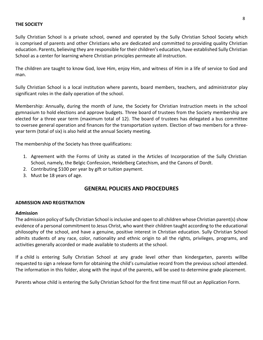### <span id="page-7-0"></span>**THE SOCIETY**

Sully Christian School is a private school, owned and operated by the Sully Christian School Society which is comprised of parents and other Christians who are dedicated and committed to providing quality Christian education. Parents, believing they are responsible for their children's education, have established Sully Christian School as a center for learning where Christian principles permeate all instruction.

The children are taught to know God, love Him, enjoy Him, and witness of Him in a life of service to God and man.

Sully Christian School is a local institution where parents, board members, teachers, and administrator play significant roles in the daily operation of the school.

Membership: Annually, during the month of June, the Society for Christian Instruction meets in the school gymnasium to hold elections and approve budgets. Three board of trustees from the Society membership are elected for a three year term (maximum total of 12). The board of trustees has delegated a bus committee to oversee general operation and finances for the transportation system. Election of two members for a threeyear term (total of six) is also held at the annual Society meeting.

The membership of the Society has three qualifications:

- 1. Agreement with the Forms of Unity as stated in the Articles of Incorporation of the Sully Christian School, namely, the Belgic Confession, Heidelberg Catechism, and the Canons of Dordt.
- 2. Contributing \$100 per year by gift or tuition payment.
- 3. Must be 18 years of age.

### **GENERAL POLICIES AND PROCEDURES**

#### <span id="page-7-1"></span>**ADMISSION AND REGISTRATION**

#### **Admission**

The admission policy of Sully Christian School is inclusive and open to all children whose Christian parent(s) show evidence of a personal commitment to Jesus Christ, who want their children taught according to the educational philosophy of the school, and have a genuine, positive interest in Christian education. Sully Christian School admits students of any race, color, nationality and ethnic origin to all the rights, privileges, programs, and activities generally accorded or made available to students at the school.

If a child is entering Sully Christian School at any grade level other than kindergarten, parents willbe requested to sign a release form for obtaining the child's cumulative record from the previous school attended. The information in this folder, along with the input of the parents, will be used to determine grade placement.

Parents whose child is entering the Sully Christian School for the first time must fill out an Application Form.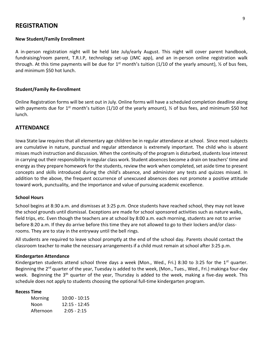### **REGISTRATION**

### **New Student/Family Enrollment**

A in-person registration night will be held late July/early August. This night will cover parent handbook, fundraising/room parent, T.R.I.P, technology set-up (JMC app), and an in-person online registration walk through. At this time payments will be due for 1<sup>st</sup> month's tuition (1/10 of the yearly amount),  $\frac{1}{2}$  of bus fees, and minimum \$50 hot lunch.

#### **Student/Family Re-Enrollment**

Online Registration forms will be sent out in July. Online forms will have a scheduled completion deadline along with payments due for 1<sup>st</sup> month's tuition (1/10 of the yearly amount),  $\frac{1}{2}$  of bus fees, and minimum \$50 hot lunch.

### <span id="page-8-0"></span>**ATTENDANCE**

Iowa State law requires that all elementary age children be in regular attendance at school. Since most subjects are cumulative in nature, punctual and regular attendance is extremely important. The child who is absent misses much instruction and discussion. When the continuity of the program is disturbed, students lose interest in carrying out their responsibility in regular class work. Student absences become a drain on teachers' time and energy as they prepare homework for the students, review the work when completed, set aside time to present concepts and skills introduced during the child's absence, and administer any tests and quizzes missed. In addition to the above, the frequent occurrence of unexcused absences does not promote a positive attitude toward work, punctuality, and the importance and value of pursuing academic excellence.

#### <span id="page-8-1"></span>**School Hours**

School begins at 8:30 a.m. and dismisses at 3:25 p.m. Once students have reached school, they may not leave the school grounds until dismissal. Exceptions are made for school sponsored activities such as nature walks, field trips, etc. Even though the teachers are at school by 8:00 a.m. each morning, students are not to arrive before 8:20 a.m. If they do arrive before this time they are not allowed to go to their lockers and/or classrooms. They are to stay in the entryway until the bell rings.

All students are required to leave school promptly at the end of the school day. Parents should contact the classroom teacher to make the necessary arrangements if a child must remain at school after 3:25 p.m.

#### <span id="page-8-2"></span>**Kindergarten Attendance**

Kindergarten students attend school three days a week (Mon., Wed., Fri.) 8:30 to 3:25 for the 1<sup>st</sup> quarter. Beginning the 2<sup>rd</sup> quarter of the year, Tuesday is added to the week, (Mon., Tues., Wed., Fri.) makinga four-day week. Beginning the 3<sup>th</sup> quarter of the year, Thursday is added to the week, making a five-day week. This schedule does not apply to students choosing the optional full-time kindergarten program.

#### <span id="page-8-4"></span><span id="page-8-3"></span>**Recess Time**

| Morning   | $10:00 - 10:15$ |
|-----------|-----------------|
| Noon      | $12:15 - 12:45$ |
| Afternoon | $2:05 - 2:15$   |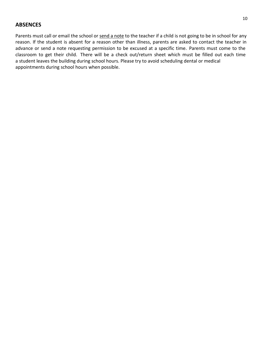### **ABSENCES**

Parents must call or email the school or send a note to the teacher if a child is not going to be in school for any reason. If the student is absent for a reason other than illness, parents are asked to contact the teacher in advance or send a note requesting permission to be excused at a specific time. Parents must come to the classroom to get their child. There will be a check out/return sheet which must be filled out each time a student leaves the building during school hours. Please try to avoid scheduling dental or medical appointments during school hours when possible.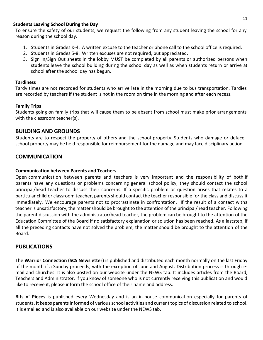### <span id="page-10-0"></span>**Students Leaving School During the Day**

To ensure the safety of our students, we request the following from any student leaving the school for any reason during the school day.

- 1. Students in Grades K-4: A written excuse to the teacher or phone call to the school office is required.
- 2. Students in Grades 5-8: Written excuses are not required, but appreciated.
- 3. Sign In/Sign Out sheets in the lobby MUST be completed by all parents or authorized persons when students leave the school building during the school day as well as when students return or arrive at school after the school day has begun.

### <span id="page-10-1"></span>**Tardiness**

Tardy times are not recorded for students who arrive late in the morning due to bus transportation. Tardies are recorded by teachers if the student is not in the room on time in the morning and after each recess.

### <span id="page-10-2"></span>**Family Trips**

Students going on family trips that will cause them to be absent from school must make prior arrangements with the classroom teacher(s).

### <span id="page-10-3"></span>**BUILDING AND GROUNDS**

Students are to respect the property of others and the school property. Students who damage or deface school property may be held responsible for reimbursement for the damage and may face disciplinary action.

### <span id="page-10-4"></span>**COMMUNICATION**

### **Communication between Parents and Teachers**

Open communication between parents and teachers is very important and the responsibility of both.If parents have any questions or problems concerning general school policy, they should contact the school principal/head teacher to discuss their concerns. If a specific problem or question arises that relates to a particular child or classroom teacher, parents should contact the teacher responsible for the class and discuss it immediately. We encourage parents not to procrastinate in confrontation. If the result of a contact witha teacher is unsatisfactory, the matter should be brought to the attention of the principal/head teacher. Following the parent discussion with the administrator/head teacher, the problem can be brought to the attention of the Education Committee of the Board if no satisfactory explanation or solution has been reached. As a laststep, if all the preceding contacts have not solved the problem, the matter should be brought to the attention of the Board.

### <span id="page-10-5"></span>**PUBLICATIONS**

The **Warrior Connection (SCS Newsletter)** is published and distributed each month normally on the last Friday of the month if a Sunday proceeds, with the exception of June and August. Distribution process is through email and churches. It is also posted on our website under the NEWS tab. It includes articles from the Board, Teachers and Administrator. If you know of someone who is not currently receiving this publication and would like to receive it, please inform the school office of their name and address.

**Bits n' Pieces** is published every Wednesday and is an in-house communication especially for parents of students. It keeps parents informed of various school activities and current topics of discussion related to school. It is emailed and is also available on our website under the NEWS tab.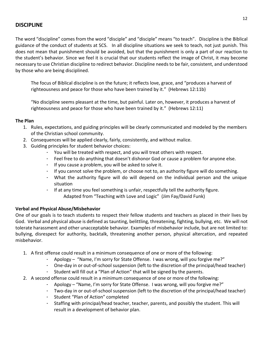### <span id="page-11-0"></span>**DISCIPLINE**

The word "discipline" comes from the word "disciple" and "disciple" means "to teach". Discipline is the Biblical guidance of the conduct of students at SCS. In all discipline situations we seek to teach, not just punish. This does not mean that punishment should be avoided, but that the punishment is only a part of our reaction to the student's behavior. Since we feel it is crucial that our students reflect the image of Christ, it may become necessary to use Christian discipline to redirect behavior. Discipline needs to be fair, consistent, and understood by those who are being disciplined.

The focus of Biblical discipline is on the future; it reflects love, grace, and "produces a harvest of righteousness and peace for those who have been trained by it." (Hebrews 12:11b)

"No discipline seems pleasant at the time, but painful. Later on, however, it produces a harvest of righteousness and peace for those who have been trained by it." (Hebrews 12:11)

### <span id="page-11-1"></span>**The Plan**

- 1. Rules, expectations, and guiding principles will be clearly communicated and modeled by the members of the Christian school community.
- 2. Consequences will be applied clearly, fairly, consistently, and without malice.
- 3. Guiding principles for student behavior choices:
	- You will be treated with respect, and you will treat others with respect.
	- Feel free to do anything that doesn't dishonor God or cause a problem for anyone else.
	- If you cause a problem, you will be asked to solve it.
	- If you cannot solve the problem, or choose not to, an authority figure will do something.
	- What the authority figure will do will depend on the individual person and the unique situation
	- If at any time you feel something is unfair, respectfully tell the authority figure. Adapted from "Teaching with Love and Logic" (Jim Fay/David Funk)

### <span id="page-11-2"></span>**Verbal and Physical Abuse/Misbehavior**

One of our goals is to teach students to respect their fellow students and teachers as placed in their lives by God. Verbal and physical abuse is defined as taunting, belittling, threatening, fighting, bullying, etc. We will not tolerate harassment and other unacceptable behavior. Examples of misbehavior include, but are not limited to: bullying, disrespect for authority, backtalk, threatening another person, physical altercation, and repeated misbehavior.

- 1. A first offense could result in a minimum consequence of one or more of the following:
	- Apology "Name, I'm sorry for State Offense. I was wrong, will you forgive me?"
	- One-day in or out-of-school suspension (left to the discretion of the principal/head teacher)
	- Student will fill out a "Plan of Action" that will be signed by the parents.
- 2. A second offense could result in a minimum consequence of one or more of the following:
	- Apology "Name, I'm sorry for State Offense. I was wrong, will you forgive me?"
	- Two-day in or out-of-school suspension (left to the discretion of the principal/head teacher)
	- Student "Plan of Action" completed
	- Staffing with principal/head teacher, teacher, parents, and possibly the student. This will result in a development of behavior plan.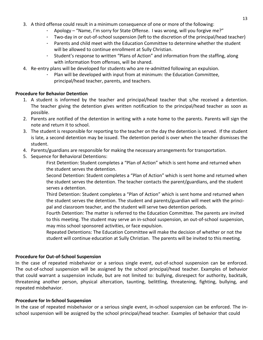- 3. A third offense could result in a minimum consequence of one or more of the following:
	- Apology "Name, I'm sorry for State Offense. I was wrong, will you forgive me?"
	- Two-day in or out-of-school suspension (left to the discretion of the principal/head teacher)
	- Parents and child meet with the Education Committee to determine whether the student will be allowed to continue enrollment at Sully Christian.
	- Student's response to written "Plans of Action" and information from the staffing, along with information from offenses, will be shared.
- 4. Re-entry plans will be developed for students who are re-admitted following an expulsion.
	- Plan will be developed with input from at minimum: the Education Committee, principal/head teacher, parents, and teachers.

#### <span id="page-12-0"></span>**Procedure for Behavior Detention**

- 1. A student is informed by the teacher and principal/head teacher that s/he received a detention. The teacher giving the detention gives written notification to the principal/head teacher as soon as possible.
- 2. Parents are notified of the detention in writing with a note home to the parents. Parents will sign the note and return it to school.
- 3. The student is responsible for reporting to the teacher on the day the detention is served. If the student is late, a second detention may be issued. The detention period is over when the teacher dismisses the student.
- 4. Parents/guardians are responsible for making the necessary arrangements for transportation.
- 5. Sequence for Behavioral Detentions:

First Detention: Student completes a "Plan of Action" which is sent home and returned when the student serves the detention.

Second Detention: Student completes a "Plan of Action" which is sent home and returned when the student serves the detention. The teacher contacts the parent/guardians, and the student serves a detention.

Third Detention: Student completes a "Plan of Action" which is sent home and returned when the student serves the detention. The student and parents/guardian will meet with the principal and classroom teacher, and the student will serve two detention periods.

Fourth Detention: The matter is referred to the Education Committee. The parents are invited to this meeting. The student may serve an in-school suspension, an out-of-school suspension, may miss school sponsored activities, or face expulsion.

Repeated Detentions: The Education Committee will make the decision of whether or not the student will continue education at Sully Christian. The parents will be invited to this meeting.

### <span id="page-12-1"></span>**Procedure for Out-of-School Suspension**

In the case of repeated misbehavior or a serious single event, out-of-school suspension can be enforced. The out-of-school suspension will be assigned by the school principal/head teacher. Examples of behavior that could warrant a suspension include, but are not limited to: bullying, disrespect for authority, backtalk, threatening another person, physical altercation, taunting, belittling, threatening, fighting, bullying, and repeated misbehavior.

### <span id="page-12-2"></span>**Procedure for In-School Suspension**

In the case of repeated misbehavior or a serious single event, in-school suspension can be enforced. The inschool suspension will be assigned by the school principal/head teacher. Examples of behavior that could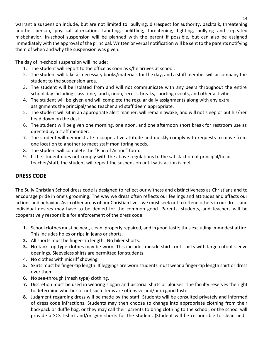warrant a suspension include, but are not limited to: bullying, disrespect for authority, backtalk, threatening another person, physical altercation, taunting, belittling, threatening, fighting, bullying and repeated misbehavior. In-school suspension will be planned with the parent if possible, but can also be assigned immediately with the approval of the principal. Written or verbal notification will be sent to the parents notifying them of when and why the suspension was given.

The day of in-school suspension will include:

- 1. The student will report to the office as soon as s/he arrives at school.
- 2. The student will take all necessary books/materials for the day, and a staff member will accompany the student to the suspension area.
- 3. The student will be isolated from and will not communicate with any peers throughout the entire school day including class time, lunch, noon, recess, breaks, sporting events, and other activities.
- 4. The student will be given and will complete the regular daily assignments along with any extra assignments the principal/head teacher and staff deem appropriate.
- 5. The student will sit in an appropriate alert manner, will remain awake, and will not sleep or put his/her head down on the desk.
- 6. The student will be given one morning, one noon, and one afternoon short break for restroom use as directed by a staff member.
- 7. The student will demonstrate a cooperative attitude and quickly comply with requests to move from one location to another to meet staff monitoring needs.
- 8. The student will complete the "Plan of Action" form.
- 9. If the student does not comply with the above regulations to the satisfaction of principal/head teacher/staff, the student will repeat the suspension until satisfaction is met.

### <span id="page-13-0"></span>**DRESS CODE**

The Sully Christian School dress code is designed to reflect our witness and distinctiveness as Christians and to encourage pride in one's grooming. The way we dress often reflects our feelings and attitudes and affects our actions and behavior. As in other areas of our Christian lives, we must seek not to offend others in our dress and individual desires may have to be denied for the common good. Parents, students, and teachers will be cooperatively responsible for enforcement of the dress code.

- **1.** School clothes must be neat, clean, properly repaired, and in good taste; thus excluding immodest attire. This includes holes or rips in jeans or shorts.
- **2.** All shorts must be finger-tip length. No biker shorts.
- **3.** No tank-top type clothes may be worn. This includes muscle shirts or t-shirts with large cutout sleeve openings. Sleeveless shirts are permitted for students.
- 4. No clothes with midriff showing.
- **5.** Skirts must be finger-tip length. If leggings are worn students must wear a finger-tip length shirt or dress over them.
- **6.** No see-through (mesh type) clothing.
- **7.** Discretion must be used in wearing slogan and pictorial shirts or blouses. The faculty reserves the right to determine whether or not such items are offensive and/or in good taste.
- **8.** Judgment regarding dress will be made by the staff. Students will be consulted privately and informed of dress code infractions. Students may then choose to change into appropriate clothing from their backpack or duffle bag, or they may call their parents to bring clothing to the school, or the school will provide a SCS t-shirt and/or gym shorts for the student. (Student will be responsible to clean and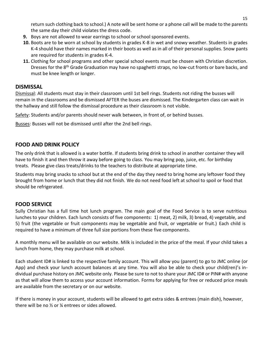return such clothing back to school.) A note will be sent home or a phone call will be made to the parents the same day their child violates the dress code.

- **9.** Boys are not allowed to wear earrings to school or school sponsored events.
- **10.** Boots are to be worn at school by students in grades K-8 in wet and snowy weather. Students in grades K-4 should have their names marked in their boots as well as in all of their personal supplies. Snow pants are required for students in grades K-4.
- **11.** Clothing for school programs and other special school events must be chosen with Christian discretion. Dresses for the 8<sup>th</sup> Grade Graduation may have no spaghetti straps, no low-cut fronts or bare backs, and must be knee length or longer.

### **DISMISSAL**

Dismissal: All students must stay in their classroom until 1st bell rings. Students not riding the busses will remain in the classrooms and be dismissed AFTER the buses are dismissed. The Kindergarten class can wait in the hallway and still follow the dismissal procedure as their classroom is not visible.

Safety: Students and/or parents should never walk between, in front of, or behind busses.

Busses: Busses will not be dismissed until after the 2nd bell rings.

### **FOOD AND DRINK POLICY**

The only drink that is allowed is a water bottle. If students bring drink to school in another container they will have to finish it and then throw it away before going to class. You may bring pop, juice, etc. for birthday treats. Please give class treats/drinks to the teachers to distribute at appropriate time.

Students may bring snacks to school but at the end of the day they need to bring home any leftover food they brought from home or lunch that they did not finish. We do not need food left at school to spoil or food that should be refrigerated.

### <span id="page-14-0"></span>**FOOD SERVICE**

Sully Christian has a full time hot lunch program. The main goal of the Food Service is to serve nutritious lunches to your children. Each lunch consists of five components: 1) meat, 2) milk, 3) bread, 4) vegetable, and 5) fruit (the vegetable or fruit components may be vegetable and fruit, or vegetable or fruit.) Each child is required to have a minimum of three full size portions from these five components.

A monthly menu will be available on our website. Milk is included in the price of the meal. If your child takes a lunch from home, they may purchase milk at school.

Each student ID# is linked to the respective family account. This will allow you (parent) to go to JMC online (or App) and check your lunch account balances at any time. You will also be able to check your child(ren)'s individual purchase history on JMC website only. Please be sure to not to share your JMC ID# or PIN# with anyone as that will allow them to access your account information. Forms for applying for free or reduced price meals are available from the secretary or on our website.

If there is money in your account, students will be allowed to get extra sides & entrees (main dish), however, there will be no ½ or ¼ entrees or sides allowed.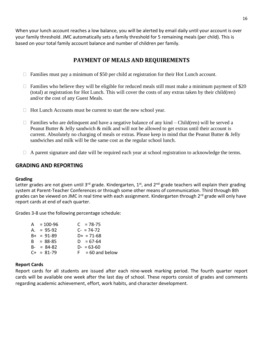When your lunch account reaches a low balance, you will be alerted by email daily until your account is over your family threshold. JMC automatically sets a family threshold for 5 remaining meals (per child). This is based on your total family account balance and number of children per family.

### **PAYMENT OF MEALS AND REQUIREMENTS**

- □ Families must pay a minimum of \$50 per child at registration for their Hot Lunch account.
- $\Box$  Families who believe they will be eligible for reduced meals still must make a minimum payment of \$20 (total) at registration for Hot Lunch. This will cover the costs of any extras taken by their child(ren) and/or the cost of any Guest Meals.
- $\Box$  Hot Lunch Accounts must be current to start the new school year.
- $\Box$  Families who are delinquent and have a negative balance of any kind Child(ren) will be served a Peanut Butter & Jelly sandwich & milk and will not be allowed to get extras until their account is current. Absolutely no charging of meals or extras. Please keep in mind that the Peanut Butter & Jelly sandwiches and milk will be the same cost as the regular school lunch.
- $\Box$  A parent signature and date will be required each year at school registration to acknowledge the terms.

### <span id="page-15-0"></span>**GRADING AND REPORTING**

### <span id="page-15-1"></span>**Grading**

Letter grades are not given until 3<sup>rd</sup> grade. Kindergarten, 1<sup>st</sup>, and 2<sup>nd</sup> grade teachers will explain their grading system at Parent-Teacher Conferences or through some other means of communication. Third through 8th grades can be viewed on JMC in real time with each assignment. Kindergarten through 2<sup>rd</sup> grade will only have report cards at end of each quarter.

Grades 3-8 use the following percentage schedule:

| $A = 100-96$    | $C = 78-75$        |
|-----------------|--------------------|
| $A. = 95-92$    | $C - 74 - 72$      |
| $B+ = 91-89$    | $D+ = 71-68$       |
| $B = 88-85$     | $D = 67 - 64$      |
| $B - = 84-82$   | $D - 63 - 60$      |
| $C_{+}$ = 81-79 | $F = 60$ and below |
|                 |                    |

### <span id="page-15-2"></span>**Report Cards**

Report cards for all students are issued after each nine-week marking period. The fourth quarter report cards will be available one week after the last day of school. These reports consist of grades and comments regarding academic achievement, effort, work habits, and character development.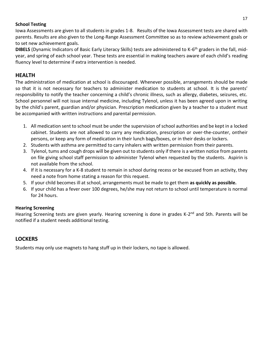### <span id="page-16-0"></span>**School Testing**

Iowa Assessments are given to all students in grades 1-8. Results of the Iowa Assessment tests are shared with parents. Results are also given to the Long-Range Assessment Committee so as to review achievement goals or to set new achievement goals.

**DIBELS** (Dynamic Indicators of Basic Early Literacy Skills) tests are administered to K-6<sup>th</sup> graders in the fall, midyear, and spring of each school year. These tests are essential in making teachers aware of each child's reading fluency level to determine if extra intervention is needed.

### <span id="page-16-1"></span>**HEALTH**

The administration of medication at school is discouraged. Whenever possible, arrangements should be made so that it is not necessary for teachers to administer medication to students at school. It is the parents' responsibility to notify the teacher concerning a child's chronic illness, such as allergy, diabetes, seizures, etc. School personnel will not issue internal medicine, including Tylenol, unless it has been agreed upon in writing by the child's parent, guardian and/or physician. Prescription medication given by a teacher to a student must be accompanied with written instructions and parental permission.

- 1. All medication sent to school must be under the supervision of school authorities and be kept in a locked cabinet. Students are not allowed to carry any medication, prescription or over-the-counter, ontheir persons, or keep any form of medication in their lunch bags/boxes, or in their desks or lockers.
- 2. Students with asthma are permitted to carry inhalers with written permission from their parents.
- 3. Tylenol, tums and cough drops will be given out to students only if there is a written notice from parents on file giving school staff permission to administer Tylenol when requested by the students. Aspirin is not available from the school.
- 4. If it is necessary for a K-8 student to remain in school during recess or be excused from an activity, they need a note from home stating a reason for this request.
- 5. If your child becomes ill at school, arrangements must be made to get them **as quickly as possible.**
- 6. If your child has a fever over 100 degrees, he/she may not return to school until temperature is normal for 24 hours.

### <span id="page-16-2"></span>**Hearing Screening**

Hearing Screening tests are given yearly. Hearing screening is done in grades K-2<sup>nd</sup> and 5th. Parents will be notified if a student needs additional testing.

### <span id="page-16-3"></span>**LOCKERS**

<span id="page-16-4"></span>Students may only use magnets to hang stuff up in their lockers, no tape is allowed.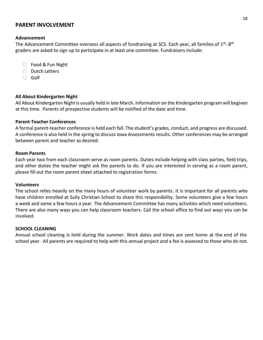### **PARENT INVOLVEMENT**

#### <span id="page-17-0"></span>**Advancement**

The Advancement Committee oversees all aspects of fundraising at SCS. Each year, all families of 1<sup>st</sup>-8<sup>th</sup> graders are asked to sign up to participate in at least one committee. Fundraisers include:

- □ Food & Fun Night
- $\n **Dutch Letters**\n$
- Golf

### <span id="page-17-1"></span>**All About Kindergarten Night**

All About Kindergarten Night is usually held in late March. Information on the Kindergarten program will begiven at this time. Parents of prospective students will be notified of the date and time.

#### <span id="page-17-2"></span>**Parent-Teacher Conferences**

A formal parent-teacher conference is held each fall. The student's grades, conduct, and progress are discussed. A conference is also held in the spring to discuss Iowa Assessments results. Other conferences may be arranged between parent and teacher as desired.

#### <span id="page-17-3"></span>**Room Parents**

Each year two from each classroom serve as room parents. Duties include helping with class parties, field trips, and other duties the teacher might ask the parents to do. If you are interested in serving as a room parent, please fill out the room parent sheet attached to registration forms.

#### **Volunteers**

The school relies heavily on the many hours of volunteer work by parents. It is important for all parents who have children enrolled at Sully Christian School to share this responsibility. Some volunteers give a few hours a week and some a few hours a year. The Advancement Committee has many activities which need volunteers. There are also many ways you can help classroom teachers. Call the school office to find out ways you can be involved.

### <span id="page-17-4"></span>**SCHOOL CLEANING**

<span id="page-17-5"></span>Annual school cleaning is held during the summer. Work dates and times are sent home at the end of the school year. All parents are required to help with this annual project and a fee is assessed to those who do not.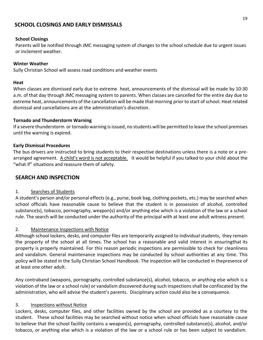### **SCHOOL CLOSINGS AND EARLY DISMISSALS**

### <span id="page-18-0"></span>**School Closings**

Parents will be notified through JMC messaging system of changes to the school schedule due to urgent issues or inclement weather.

### **Winter Weather**

Sully Christian School will assess road conditions and weather events

### **Heat**

When classes are dismissed early due to extreme heat, announcements of the dismissal will be made by 10:30 a.m. of that day through JMC messaging system to parents. When classes are cancelled for the entire day due to extreme heat, announcements of the cancellation will be made that morning prior to start of school. Heat related dismissal and cancellations are at the administration's discretion.

### **Tornado and Thunderstorm Warning**

If a severe thunderstorm or tornado warning is issued, no students will be permitted to leave the school premises until the warning is expired.

### **Early Dismissal Procedures**

The bus drivers are instructed to bring students to their respective destinations unless there is a note or a prearranged agreement. A child's word is not acceptable. It would be helpful if you talked to your child about the "what if" situations and reassure them of safety.

### **SEARCH AND INSPECTION**

### 1. Searches of Students

A student's person and/or personal effects (e.g., purse, book bag, clothing pockets, etc.) may be searched when school officials have reasonable cause to believe that the student is in possession of alcohol, controlled substance)s), tobacco, pornography, weapon)s) and/or anything else which is a violation of the law or a school rule. The search will be conducted under the authority of the principal with at least one adult witness present.

### 2. Maintenance Inspections with Notice

Although school lockers, desks, and computer files are temporarily assigned to individual students, they remain the property of the school at all times. The school has a reasonable and valid interest in ensuringthat its property is properly maintained. For this reason periodic inspections are permissible to check for cleanliness and vandalism. General maintenance inspections may be conducted by school authorities at any time. This policy will be stated in the Sully Christian School Handbook. The inspection will be conducted in thepresence of at least one other adult.

Any contraband (weapons, pornography, controlled substance(s), alcohol, tobacco, or anything else which is a violation of the law or a school rule) or vandalism discovered during such inspections shall be confiscated by the administration, who will advise the student's parents. Disciplinary action could also be a consequence.

### 3. Inspections without Notice

Lockers, desks, computer files, and other facilities owned by the school are provided as a courtesy to the student. These school facilities may be searched without notice when school officials have reasonable cause to believe that the school facility contains a weapon(s), pornography, controlled substance(s), alcohol, and/or tobacco, or anything else which is a violation of the law or a school rule or has been subject to vandalism.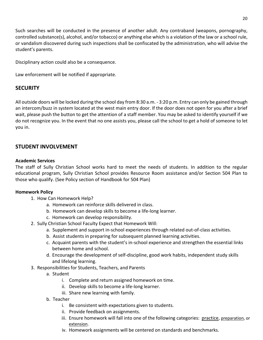Such searches will be conducted in the presence of another adult. Any contraband (weapons, pornography, controlled substance(s), alcohol, and/or tobacco) or anything else which is a violation of the law or a school rule, or vandalism discovered during such inspections shall be confiscated by the administration, who will advise the student's parents.

Disciplinary action could also be a consequence.

Law enforcement will be notified if appropriate.

### **SECURITY**

All outside doors will be locked during the school day from 8:30 a.m. - 3:20 p.m. Entry can only be gained through an intercom/buzz in system located at the west main entry door. If the door does not open for you after a brief wait, please push the button to get the attention of a staff member. You may be asked to identify yourself if we do not recognize you. In the event that no one assists you, please call the school to get a hold of someone to let you in.

### **STUDENT INVOLVEMENT**

### **Academic Services**

The staff of Sully Christian School works hard to meet the needs of students. In addition to the regular educational program, Sully Christian School provides Resource Room assistance and/or Section 504 Plan to those who qualify. (See Policy section of Handbook for 504 Plan)

### **Homework Policy**

- 1. How Can Homework Help?
	- a. Homework can reinforce skills delivered in class.
	- b. Homework can develop skills to become a life-long learner.
	- c. Homework can develop responsibility.
- 2. Sully Christian School Faculty Expect that Homework Will:
	- a. Supplement and support in-school experiences through related out-of-class activities.
	- b. Assist students in preparing for subsequent planned learning activities.
	- c. Acquaint parents with the student's in-school experience and strengthen the essential links between home and school.
	- d. Encourage the development of self-discipline, good work habits, independent study skills and lifelong learning.
- 3. Responsibilities for Students, Teachers, and Parents
	- a. Student
		- i. Complete and return assigned homework on time.
		- ii. Develop skills to become a life-long learner.
		- iii. Share new learning with family.
	- b. Teacher
		- i. Be consistent with expectations given to students.
		- ii. Provide feedback on assignments.
		- iii. Ensure homework will fall into one of the following categories: practice, preparation, or extension.
		- iv. Homework assignments will be centered on standards and benchmarks.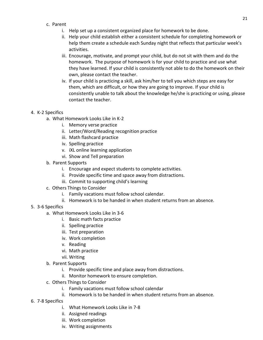- c. Parent
	- i. Help set up a consistent organized place for homework to be done.
	- ii. Help your child establish either a consistent schedule for completing homework or help them create a schedule each Sunday night that reflects that particular week's activities.
	- iii. Encourage, motivate, and prompt your child, but do not sit with them and do the homework. The purpose of homework is for your child to practice and use what they have learned. If your child is consistently not able to do the homework on their own, please contact the teacher.
	- iv. If your child is practicing a skill, ask him/her to tell you which steps are easy for them, which are difficult, or how they are going to improve. If your child is consistently unable to talk about the knowledge he/she is practicing or using, please contact the teacher.

### 4. K-2 Specifics

- a. What Homework Looks Like in K-2
	- i. Memory verse practice
	- ii. Letter/Word/Reading recognition practice
	- iii. Math flashcard practice
	- iv. Spelling practice
	- v. iXL online learning application
	- vi. Show and Tell preparation
- b. Parent Supports
	- i. Encourage and expect students to complete activities.
	- ii. Provide specific time and space away from distractions.
	- iii. Commit to supporting child's learning
- c. Others Things to Consider
	- i. Family vacations must follow school calendar.
	- ii. Homework is to be handed in when student returns from an absence.
- 5. 3-6 Specifics
	- a. What Homework Looks Like in 3-6
		- i. Basic math facts practice
		- ii. Spelling practice
		- iii. Test preparation
		- iv. Work completion
		- v. Reading
		- vi. Math practice
		- vii. Writing
	- b. Parent Supports
		- i. Provide specific time and place away from distractions.
		- ii. Monitor homework to ensure completion.
	- c. Others Things to Consider
		- i. Family vacations must follow school calendar
		- ii. Homework is to be handed in when student returns from an absence.
- 6. 7-8 Specifics
	- i. What Homework Looks Like in 7-8
	- ii. Assigned readings
	- iii. Work completion
	- iv. Writing assignments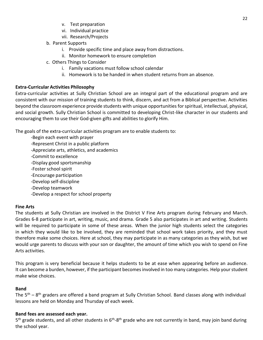- v. Test preparation
- vi. Individual practice
- vii. Research/Projects
- b. Parent Supports
	- i. Provide specific time and place away from distractions.
	- ii. Monitor homework to ensure completion
- c. Others Things to Consider
	- i. Family vacations must follow school calendar
	- ii. Homework is to be handed in when student returns from an absence.

### **Extra-Curricular Activities Philosophy**

Extra-curricular activities at Sully Christian School are an integral part of the educational program and are consistent with our mission of training students to think, discern, and act from a Biblical perspective. Activities beyond the classroom experience provide students with unique opportunities for spiritual, intellectual, physical, and social growth. Sully Christian School is committed to developing Christ-like character in our students and encouraging them to use their God-given gifts and abilities to glorify Him.

The goals of the extra-curricular activities program are to enable students to:

- -Begin each event with prayer
- -Represent Christ in a public platform
- -Appreciate arts, athletics, and academics
- -Commit to excellence
- -Display good sportsmanship
- -Foster school spirit
- -Encourage participation
- -Develop self-discipline
- -Develop teamwork
- -Develop a respect for school property

### **Fine Arts**

The students at Sully Christian are involved in the District V Fine Arts program during February and March. Grades 6-8 participate in art, writing, music, and drama. Grade 5 also participates in art and writing. Students will be required to participate in some of these areas. When the junior high students select the categories in which they would like to be involved, they are reminded that school work takes priority, and they must therefore make some choices. Here at school, they may participate in as many categories as they wish, but we would urge parents to discuss with your son or daughter, the amount of time which you wish to spend on Fine Arts activities.

This program is very beneficial because it helps students to be at ease when appearing before an audience. It can become a burden, however, if the participant becomes involved in too many categories. Help your student make wise choices.

### **Band**

The 5<sup>th</sup> – 8<sup>th</sup> graders are offered a band program at Sully Christian School. Band classes along with individual lessons are held on Monday and Thursday of each week.

### **Band fees are assessed each year.**

5<sup>th</sup> grade students, and all other students in 6<sup>th</sup>-8<sup>th</sup> grade who are not currently in band, may join band during the school year.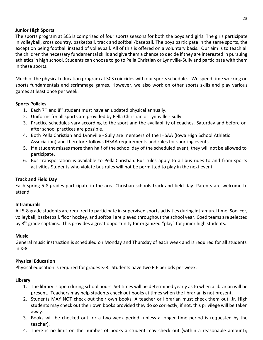### **Junior High Sports**

The sports program at SCS is comprised of four sports seasons for both the boys and girls. The girls participate in volleyball, cross country, basketball, track and softball/baseball. The boys participate in the same sports, the exception being football instead of volleyball. All of this is offered on a voluntary basis. Our aim is to teach all the children the necessary fundamental skills and give them a chance to decide if they are interested in pursuing athletics in high school. Students can choose to go to Pella Christian or Lynnville-Sully and participate with them in these sports.

Much of the physical education program at SCS coincides with our sports schedule. We spend time working on sports fundamentals and scrimmage games. However, we also work on other sports skills and play various games at least once per week.

### **Sports Policies**

- 1. Each 7<sup>th</sup> and 8<sup>th</sup> student must have an updated physical annually.
- 2. Uniforms for all sports are provided by Pella Christian or Lynnville Sully.
- 3. Practice schedules vary according to the sport and the availability of coaches. Saturday and before or after school practices are possible.
- 4. Both Pella Christian and Lynnville Sully are members of the IHSAA (Iowa High School Athletic Association) and therefore follows IHSAA requirements and rules for sporting events.
- 5. If a student misses more than half of the school day of the scheduled event, they will not be allowed to participate.
- 6. Bus transportation is available to Pella Christian. Bus rules apply to all bus rides to and from sports activities.Students who violate bus rules will not be permitted to play in the next event.

### **Track and Field Day**

Each spring 5-8 grades participate in the area Christian schools track and field day. Parents are welcome to attend.

### **Intramurals**

All 5-8 grade students are required to participate in supervised sports activities during intramural time. Soc- cer, volleyball, basketball, floor hockey, and softball are played throughout the school year. Coed teams are selected by 8<sup>th</sup> grade captains. This provides a great opportunity for organized "play" for junior high students.

### **Music**

General music instruction is scheduled on Monday and Thursday of each week and is required for all students in K-8.

### **Physical Education**

Physical education is required for grades K-8. Students have two P.E periods per week.

### **Library**

- 1. The library is open during school hours. Set times will be determined yearly as to when a librarian will be present. Teachers may help students check out books at times when the librarian is not present.
- 2. Students MAY NOT check out their own books. A teacher or librarian must check them out. Jr. High students may check out their own books provided they do so correctly; if not, this privilege will be taken away.
- 3. Books will be checked out for a two-week period (unless a longer time period is requested by the teacher).
- 4. There is no limit on the number of books a student may check out (within a reasonable amount);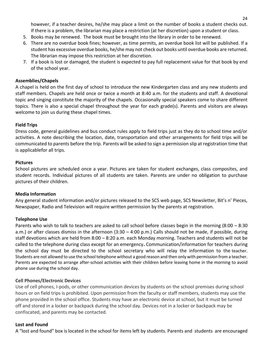however, if a teacher desires, he/she may place a limit on the number of books a student checks out. If there is a problem, the librarian may place a restriction (at her discretion) upon a student or class.

- 5. Books may be renewed. The book must be brought into the library in order to be renewed.
- 6. There are no overdue book fines; however, as time permits, an overdue book list will be published. If a student has excessive overdue books, he/she may not check out books until overdue books are returned. The librarian may impose this restriction at her discretion.
- 7. If a book is lost or damaged, the student is expected to pay full replacement value for that book by end of the school year.

### **Assemblies/Chapels**

A chapel is held on the first day of school to introduce the new Kindergarten class and any new students and staff members. Chapels are held once or twice a month at 8:40 a.m. for the students and staff. A devotional topic and singing constitute the majority of the chapels. Occasionally special speakers come to share different topics. There is also a special chapel throughout the year for each grade(s). Parents and visitors are always welcome to join us during these chapel times.

### **Field Trips**

Dress code, general guidelines and bus conduct rules apply to field trips just as they do to school time and/or activities. A note describing the location, date, transportation and other arrangements for field trips will be communicated to parents before the trip. Parents will be asked to sign a permission slip at registration time that is applicablefor all trips.

### **Pictures**

School pictures are scheduled once a year. Pictures are taken for student exchanges, class composites, and student records. Individual pictures of all students are taken. Parents are under no obligation to purchase pictures of their children.

### **Media Information**

Any general student information and/or pictures released to the SCS web page, SCS Newsletter, Bit's n' Pieces, Newspaper, Radio and Television will require written permission by the parents at registration.

### **Telephone Use**

Parents who wish to talk to teachers are asked to call school before classes begin in the morning (8:00 – 8:30 a.m.) or after classes dismiss in the afternoon (3:30 – 4:00 p.m.) Calls should not be made, if possible, during staff devotions which are held from 8:00 – 8:20 a.m. each Monday morning. Teachers and students will not be called to the telephone during class except for an emergency**.** Communication/information for teachers during the school day must be directed to the school secretary who will relay the information to the teacher. Students are not allowed to use the school telephone without a good reason and then only with permission from a teacher. Parents are expected to arrange after-school activities with their children before leaving home in the morning to avoid phone use during the school day.

### **Cell Phones/Electronic Devices**

Use of cell phones, I-pods, or other communication devices by students on the school premises during school hours or on field trips is prohibited. Upon permission from the faculty or staff members, students may use the phone provided in the school office. Students may have an electronic device at school, but it must be turned off and stored in a locker or backpack during the school day. Devices not in a locker or backpack may be confiscated, and parents may be contacted.

### **Lost and Found**

A "lost and found" box is located in the school for items left by students. Parents and students are encouraged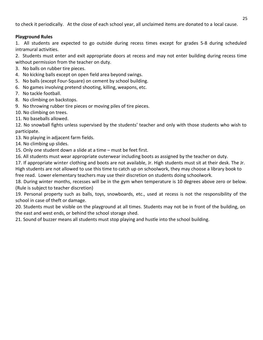to check it periodically. At the close of each school year, all unclaimed items are donated to a local cause.

### **Playground Rules**

1. All students are expected to go outside during recess times except for grades 5-8 during scheduled intramural activities.

2. Students must enter and exit appropriate doors at recess and may not enter building during recess time without permission from the teacher on duty.

- 3. No balls on rubber tire pieces.
- 4. No kicking balls except on open field area beyond swings.
- 5. No balls (except Four-Square) on cement by school building.
- 6. No games involving pretend shooting, killing, weapons, etc.
- 7. No tackle football.
- 8. No climbing on backstops.
- 9. No throwing rubber tire pieces or moving piles of tire pieces.
- 10. No climbing on trees.
- 11. No baseballs allowed.

12. No snowball fights unless supervised by the students' teacher and only with those students who wish to participate.

- 13. No playing in adjacent farm fields.
- 14. No climbing up slides.

15. Only one student down a slide at a time – must be feet first.

16. All students must wear appropriate outerwear including boots as assigned by the teacher on duty.

17. If appropriate winter clothing and boots are not available, Jr. High students must sit at their desk. The Jr.

High students are not allowed to use this time to catch up on schoolwork, they may choose a library book to

free read. Lower elementary teachers may use their discretion on students doing schoolwork.

18. During winter months, recesses will be in the gym when temperature is 10 degrees above zero or below. (Rule is subject to teacher discretion)

19. Personal property such as balls, toys, snowboards, etc., used at recess is not the responsibility of the school in case of theft or damage.

20. Students must be visible on the playground at all times. Students may not be in front of the building, on the east and west ends, or behind the school storage shed.

21. Sound of buzzer means all students must stop playing and hustle into the school building.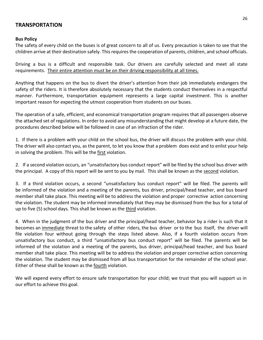### **TRANSPORTATION**

#### **Bus Policy**

The safety of every child on the buses is of great concern to all of us. Every precaution is taken to see that the children arrive at their destination safely. This requires the cooperation of parents, children, and school officials.

Driving a bus is a difficult and responsible task. Our drivers are carefully selected and meet all state requirements. Their entire attention must be on their driving responsibility at all times.

Anything that happens on the bus to divert the driver's attention from their job immediately endangers the safety of the riders. It is therefore absolutely necessary that the students conduct themselves in a respectful manner. Furthermore, transportation equipment represents a large capital investment. This is another important reason for expecting the utmost cooperation from students on our buses.

The operation of a safe, efficient, and economical transportation program requires that all passengers observe the attached set of regulations. In order to avoid any misunderstanding that might develop at a future date, the procedures described below will be followed in case of an infraction of the rider.

1. If there is a problem with your child on the school bus, the driver will discuss the problem with your child. The driver will also contact you, as the parent, to let you know that a problem does exist and to enlist your help in solving the problem. This will be the first violation.

2. If a second violation occurs, an "unsatisfactory bus conduct report" will be filed by the school bus driver with the principal. A copy of this report will be sent to you by mail. This shall be known as the second violation.

3. If a third violation occurs, a second "unsatisfactory bus conduct report" will be filed. The parents will be informed of the violation and a meeting of the parents, bus driver, principal/head teacher, and bus board member shall take place. This meeting will be to address the violation and proper corrective action concerning the violation. The student may be informed immediately that they may be dismissed from the bus for a total of up to five (5) school days. This shall be known as the third violation.

4. When in the judgment of the bus driver and the principal/head teacher, behavior by a rider is such that it becomes an immediate threat to the safety of other riders, the bus driver or to the bus itself, the driver will file violation four without going through the steps listed above. Also, if a fourth violation occurs from unsatisfactory bus conduct, a third "unsatisfactory bus conduct report" will be filed. The parents will be informed of the violation and a meeting of the parents, bus driver, principal/head teacher, and bus board member shall take place. This meeting will be to address the violation and proper corrective action concerning the violation. The student may be dismissed from all bus transportation for the remainder of the school year. Either of these shall be known as the fourth violation.

We will expend every effort to ensure safe transportation for your child; we trust that you will support us in our effort to achieve this goal.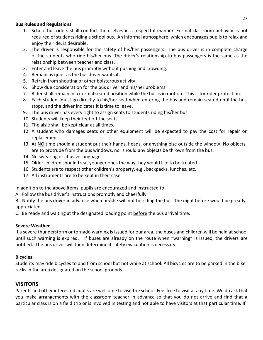### **Bus Rules and Regulations**

- 1. School bus riders shall conduct themselves in a respectful manner. Formal classroom behavior is not required of students riding a school bus. An informal atmosphere, which encourages pupils to relax and enjoy the ride, is desirable.
- 2. The driver is responsible for the safety of his/her passengers. The bus driver is in complete charge of the students who ride his/her bus. The driver's relationship to bus passengers is the same as the relationship between teacher and class.
- 3. Enter and leave the bus promptly without pushing and crowding.
- 4. Remain as quiet as the bus driver wants it.
- 5. Refrain from shouting or other boisterous activity.
- 6. Show due consideration for the bus driver and his/her problems.
- 7. Rider shall remain in a normal seated position while the bus is in motion. This is for rider protection.
- 8. Each student must go directly to his/her seat when entering the bus and remain seated until the bus stops, and the driver indicates it is time to leave.
- 9. The bus driver has every right to assign seats to students riding his/her bus.
- 10. Students will keep their feet off the seats.
- 11. The aisle shall be kept clear at all times.
- 12. A student who damages seats or other equipment will be expected to pay the cost for repair or replacement.
- 13. At NO time should a student put their hands, heads, or anything else outside the window. No objects are to protrude from the bus windows, nor should any objects be thrown from the bus.
- 14. No swearing or abusive language.
- 15. Older children should treat younger ones the way they would like to be treated.
- 16. Students are to respect other children's property, e.g., backpacks, lunches, etc.
- 17. All instruments are to be kept in their case.

In addition to the above items, pupils are encouraged and instructed to:

A. Follow the bus driver's instructions promptly and cheerfully.

B. Notify the bus driver in advance when he/she will not be riding the bus. The night before would be greatly appreciated.

C. Be ready and waiting at the designated loading point before the bus arrival time.

### **Severe Weather**

If a severe thunderstorm or tornado warning is issued for our area, the buses and children will be held at school until such warning is expired. If buses are already on the route when "warning" is issued, the drivers are notified. The bus driver will then determine if safety evacuation is necessary.

### **Bicycles**

Students may ride bicycles to and from school but not while at school. All bicycles are to be parked in the bike racks in the area designated on the school grounds.

### **VISITORS**

Parents and other interested adults are welcome to visit the school. Feel free to visit at any time. We do ask that you make arrangements with the classroom teacher in advance so that you do not arrive and find that a particular class is on a field trip or is involved in testing and not able to have visitors at that particular time. If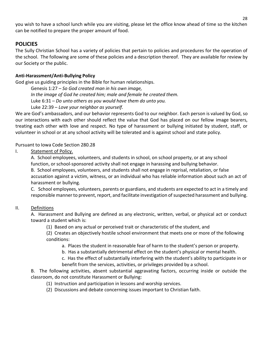you wish to have a school lunch while you are visiting, please let the office know ahead of time so the kitchen can be notified to prepare the proper amount of food.

### **POLICIES**

The Sully Christian School has a variety of policies that pertain to policies and procedures for the operation of the school. The following are some of these policies and a description thereof. They are available for review by our Society or the public.

### **Anti-Harassment/Anti-Bullying Policy**

God give us guiding principles in the Bible for human relationships.

Genesis 1:27 – *So God created man in his own image, In the image of God he created him; male and female he created them.* Luke 6:31 – *Do unto others as you would have them do unto you.* Luke 22:39 – *Love your neighbor as yourself.*

We are God's ambassadors, and our behavior represents God to our neighbor. Each person is valued by God, so our interactions with each other should reflect the value that God has placed on our fellow image bearers, treating each other with love and respect. No type of harassment or bullying initiated by student, staff, or volunteer in school or at any school activity will be tolerated and is against school and state policy.

### Pursuant to Iowa Code Section 280.28

I. Statement of Policy.

A. School employees, volunteers, and students in school, on school property, or at any school function, or school-sponsored activity shall not engage in harassing and bullying behavior.

B. School employees, volunteers, and students shall not engage in reprisal, retaliation, or false accusation against a victim, witness, or an individual who has reliable information about such an act of harassment or bullying.

C. School employees, volunteers, parents or guardians, and students are expected to act in a timely and responsible manner to prevent, report, and facilitate investigation of suspected harassment and bullying.

### II. Definitions

A. Harassment and Bullying are defined as any electronic, written, verbal, or physical act or conduct toward a student which is:

(1) Based on any actual or perceived trait or characteristic of the student, and

(2) Creates an objectively hostile school environment that meets one or more of the following conditions:

a. Places the student in reasonable fear of harm to the student's person or property.

b. Has a substantially detrimental effect on the student's physical or mental health.

c. Has the effect of substantially interfering with the student's ability to participate in or benefit from the services, activities, or privileges provided by a school.

B. The following activities, absent substantial aggravating factors, occurring inside or outside the classroom, do not constitute Harassment or Bullying:

- (1) Instruction and participation in lessons and worship services.
- (2) Discussions and debate concerning issues important to Christian faith.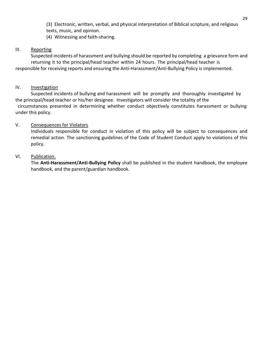(3) Electronic, written, verbal, and physical interpretation of Biblical scripture, and religious texts, music, and opinion.

(4) Witnessing and faith-sharing.

### III. Reporting

Suspected incidents of harassment and bullying should be reported by completing a grievance form and returning it to the principal/head teacher within 24 hours. The principal/head teacher is responsible for receiving reports and ensuring the Anti-Harassment/Anti-Bullying Policy is implemented.

### IV. Investigation

Suspected incidents of bullying and harassment will be promptly and thoroughly investigated by the principal/head teacher or his/her designee. Investigators will consider the totality of the

circumstances presented in determining whether conduct objectively constitutes harassment or bullying under this policy.

### V. Consequences for Violators

Individuals responsible for conduct in violation of this policy will be subject to consequences and remedial action. The sanctioning guidelines of the Code of Student Conduct apply to violations of this policy.

### VI. Publication.

The **Anti-Harassment/Anti-Bullying Policy** shall be published in the student handbook, the employee handbook, and the parent/guardian handbook.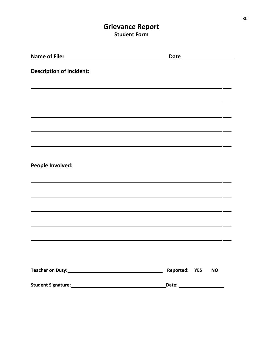# **Grievance Report Student Form**

| <b>Description of Incident:</b>                                                                                       |                                                            |
|-----------------------------------------------------------------------------------------------------------------------|------------------------------------------------------------|
|                                                                                                                       |                                                            |
|                                                                                                                       | <u> 1989 - Johann Stoff, amerikansk politiker (* 1908)</u> |
| <u> 1989 - Andrea Santa Andrea Andrea Andrea Andrea Andrea Andrea Andrea Andrea Andrea Andrea Andrea Andrea Andr</u>  |                                                            |
|                                                                                                                       |                                                            |
| <u> 1989 - Johann Stoff, Amerikaansk politiker (* 1908)</u>                                                           |                                                            |
|                                                                                                                       |                                                            |
| People Involved:                                                                                                      |                                                            |
|                                                                                                                       |                                                            |
|                                                                                                                       |                                                            |
|                                                                                                                       |                                                            |
| <u> 1989 - Andrea Santa Alemania, amerikana amerikana amerikana amerikana amerikana amerikana amerikana amerikana</u> |                                                            |
|                                                                                                                       |                                                            |
|                                                                                                                       |                                                            |
|                                                                                                                       |                                                            |
|                                                                                                                       | Reported: YES<br><b>NO</b>                                 |
|                                                                                                                       |                                                            |
|                                                                                                                       |                                                            |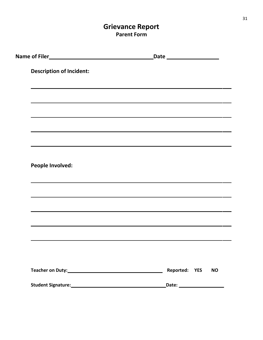# **Grievance Report Parent Form**

| Name of Filer Name of Filer Name of Filer        |                            |
|--------------------------------------------------|----------------------------|
| <b>Description of Incident:</b>                  |                            |
|                                                  |                            |
|                                                  |                            |
|                                                  |                            |
|                                                  |                            |
|                                                  |                            |
|                                                  |                            |
|                                                  |                            |
| <b>People Involved:</b>                          |                            |
|                                                  |                            |
|                                                  |                            |
|                                                  |                            |
|                                                  |                            |
|                                                  |                            |
|                                                  |                            |
|                                                  |                            |
|                                                  |                            |
|                                                  | Reported: YES<br><b>NO</b> |
| Student Signature: Management Student Signature: |                            |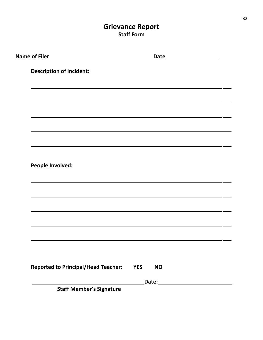# **Grievance Report Staff Form**

| <b>YES</b> | <b>NO</b> |                                                                                                                 |
|------------|-----------|-----------------------------------------------------------------------------------------------------------------|
|            |           |                                                                                                                 |
|            |           | the contract of the contract of the contract of the contract of the contract of the contract of the contract of |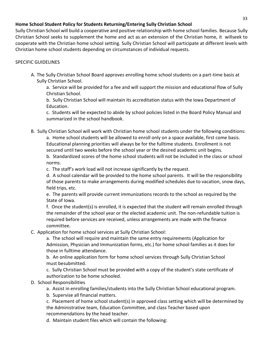### **Home School Student Policy for Students Returning/Entering Sully Christian School**

Sully Christian School will build a cooperative and positive relationship with home school families. Because Sully Christian School seeks to supplement the home and act as an extension of the Christian home, it willseek to cooperate with the Christian home school setting. Sully Christian School will participate at different levels with Christian home school students depending on circumstances of individual requests.

### SPECIFIC GUIDELINES

A. The Sully Christian School Board approves enrolling home school students on a part-time basis at Sully Christian School.

a. Service will be provided for a fee and will support the mission and educational flow of Sully Christian School.

b. Sully Christian School will maintain its accreditation status with the Iowa Department of Education.

c. Students will be expected to abide by school policies listed in the Board Policy Manual and summarized in the school handbook.

B. Sully Christian School will work with Christian home school students under the following conditions:

a. Home school students will be allowed to enroll only on a space available, first come basis. Educational planning priorities will always be for the fulltime students. Enrollment is not secured until two weeks before the school year or the desired academic unit begins.

b. Standardized scores of the home school students will not be included in the class or school norms.

c. The staff's work load will not increase significantly by the request.

d. A school calendar will be provided to the home school parents. It will be the responsibility of those parents to make arrangements during modified schedules due to vacation, snow days, field trips, etc.

e. The parents will provide current immunizations records to the school as required by the State of Iowa.

f. Once the student(s) is enrolled, it is expected that the student will remain enrolled through the remainder of the school year or the elected academic unit. The non-refundable tuition is required before services are received, unless arrangements are made with the finance committee.

C. Application for home school services at Sully Christian School:

a. The school will require and maintain the same entry requirements (Application for Admission, Physician and Immunization forms, etc.) for home school families as it does for those in fulltime attendance.

b. An online application form for home school services through Sully Christian School must besubmitted.

c. Sully Christian School must be provided with a copy of the student's state certificate of authorization to be home schooled.

- D. School Responsibilities
	- a. Assist in enrolling families/students into the Sully Christian School educational program.
	- b. Supervise all financial matters.

c. Placement of home school student(s) in approved class setting which will be determined by the Administrative team, Education Committee, and class Teacher based upon recommendations by the head teacher.

d. Maintain student files which will contain the following: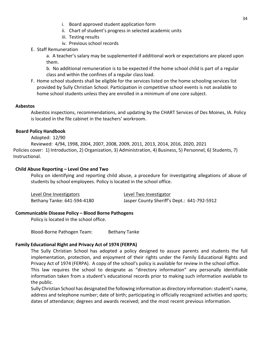- i. Board approved student application form
- ii. Chart of student's progress in selected academic units
- iii. Testing results
- iv. Previous school records
- E. Staff Remuneration

a. A teacher's salary may be supplemented if additional work or expectations are placed upon them.

b. No additional remuneration is to be expected if the home school child is part of a regular class and within the confines of a regular class load.

F. Home school students shall be eligible for the services listed on the home schooling services list provided by Sully Christian School. Participation in competitive school events is not available to home school students unless they are enrolled in a minimum of one core subject.

### **Asbestos**

Asbestos inspections, recommendations, and updating by the CHART Services of Des Moines, IA. Policy is located in the file cabinet in the teachers' workroom.

### **Board Policy Handbook**

Adopted: 12/90

Reviewed: 4/94, 1998, 2004, 2007, 2008, 2009, 2011, 2013, 2014, 2016, 2020, 2021 Policies cover: 1) Introduction, 2) Organization, 3) Administration, 4) Business, 5) Personnel, 6) Students, 7) Instructional.

### **Child Abuse Reporting – Level One and Two**

Policy on identifying and reporting child abuse, a procedure for investigating allegations of abuse of students by school employees. Policy is located in the school office.

| Level One Investigators     | Level Two Investigator                      |
|-----------------------------|---------------------------------------------|
| Bethany Tanke: 641-594-4180 | Jasper County Sheriff's Dept.: 641-792-5912 |

### **Communicable Disease Policy – Blood Borne Pathogens**

Policy is located in the school office.

Blood-Borne Pathogen Team: Bethany Tanke

### **Family Educational Right and Privacy Act of 1974 (FERPA)**

The Sully Christian School has adopted a policy designed to assure parents and students the full implementation, protection, and enjoyment of their rights under the Family Educational Rights and Privacy Act of 1974 (FERPA). A copy of the school's policy is available for review in the school office.

This law requires the school to designate as "directory information" any personally identifiable information taken from a student's educational records prior to making such information available to the public.

Sully Christian School has designated the following information as directory information: student's name, address and telephone number; date of birth; participating in officially recognized activities and sports; dates of attendance; degrees and awards received; and the most recent previous information.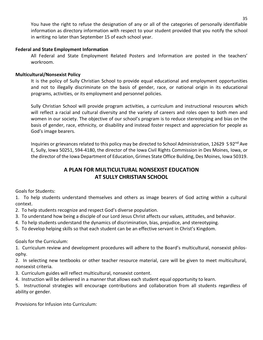You have the right to refuse the designation of any or all of the categories of personally identifiable information as directory information with respect to your student provided that you notify the school in writing no later than September 15 of each school year.

### **Federal and State Employment Information**

All Federal and State Employment Related Posters and Information are posted in the teachers' workroom.

#### **Multicultural/Nonsexist Policy**

It is the policy of Sully Christian School to provide equal educational and employment opportunities and not to illegally discriminate on the basis of gender, race, or national origin in its educational programs, activities, or its employment and personnel policies.

Sully Christian School will provide program activities, a curriculum and instructional resources which will reflect a racial and cultural diversity and the variety of careers and roles open to both men and women in our society. The objective of our school's program is to reduce stereotyping and bias on the basis of gender, race, ethnicity, or disability and instead foster respect and appreciation for people as God's image bearers.

Inquiries or grievances related to this policy may be directed to School Administration, 12629 S 92<sup>nd</sup> Ave E, Sully, Iowa 50251, 594-4180, the director of the Iowa Civil Rights Commission in Des Moines, Iowa, or the director of the Iowa Department of Education, Grimes State Office Building, Des Moines, Iowa 50319.

### **A PLAN FOR MULTICULTURAL NONSEXIST EDUCATION AT SULLY CHRISTIAN SCHOOL**

Goals for Students:

1. To help students understand themselves and others as image bearers of God acting within a cultural context.

- 2. To help students recognize and respect God's diverse population.
- 3. To understand how being a disciple of our Lord Jesus Christ affects our values, attitudes, and behavior.
- 4. To help students understand the dynamics of discrimination, bias, prejudice, and stereotyping.
- 5. To develop helping skills so that each student can be an effective servant in Christ's Kingdom.

Goals for the Curriculum:

1. Curriculum review and development procedures will adhere to the Board's multicultural, nonsexist philosophy.

2. In selecting new textbooks or other teacher resource material, care will be given to meet multicultural, nonsexist criteria.

- 3. Curriculum guides will reflect multicultural, nonsexist content.
- 4. Instruction will be delivered in a manner that allows each student equal opportunity to learn.

5. Instructional strategies will encourage contributions and collaboration from all students regardless of ability or gender.

Provisions for Infusion into Curriculum: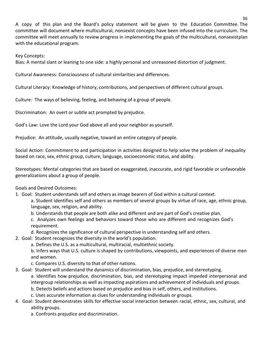A copy of this plan and the Board's policy statement will be given to the Education Committee. The committee will document where multicultural, nonsexist concepts have been infused into the curriculum. The committee will meet annually to review progress in implementing the goals of the multicultural, nonsexistplan with the educational program.

Key Concepts:

Bias: A mental slant or leaning to one side: a highly personal and unreasoned distortion of judgment.

Cultural Awareness: Consciousness of cultural similarities and differences.

Cultural Literacy: Knowledge of history, contributions, and perspectives of different cultural groups.

Culture: The ways of believing, feeling, and behaving of a group of people.

Discrimination: An overt or subtle act prompted by prejudice.

God's Law: Love the Lord your God above all and your neighbor as yourself.

Prejudice: An attitude, usually negative, toward an entire category of people.

Social Action: Commitment to and participation in activities designed to help solve the problem of inequality based on race, sex, ethnic group, culture, language, socioeconomic status, and ability.

Stereotypes: Mental categories that are based on exaggerated, inaccurate, and rigid favorable or unfavorable generalizations about a group of people.

Goals and Desired Outcomes:

1. Goal: Student understands self and others as image bearers of God within a cultural context.

a. Student identifies self and others as members of several groups by virtue of race, age, ethnic group, language, sex, religion, and ability.

b. Understands that people are both alike and different and are part of God's creative plan.

c. Analyzes own feelings and behaviors toward those who are different and recognizes God's requirement.

- d. Recognizes the significance of cultural perspective in understanding self and others.
- 2. Goal: Student recognizes the diversity in the world's population.
	- a. Defines the U.S. as a multicultural, multiracial, multiethnic society.

b. Infers ways that U.S. culture is shaped by contributions, viewpoints, and experiences of diverse men and women.

- c. Compares U.S. diversity to that of other nations.
- 3. Goal: Student will understand the dynamics of discrimination, bias, prejudice, and stereotyping.

a. Identifies how prejudice, discrimination, bias, and stereotyping impact impeded interpersonal and intergroup relationships as well as impacting aspirations and achievement of individuals and groups.

- b. Detects beliefs and actions based on prejudice and bias in self, others, and institutions.
- c. Uses accurate information as clues for understanding individuals or groups.
- 4. Goal: Student demonstrates skills for effective social interaction between racial, ethnic, sex, cultural, and ability groups.
	- a. Confronts prejudice and discrimination.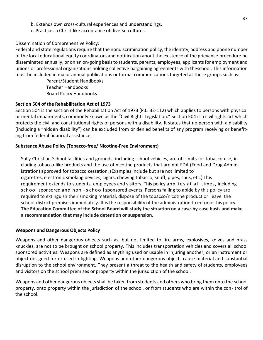- b. Extends own cross-cultural experiences and understandings.
- c. Practices a Christ-like acceptance of diverse cultures.

### Dissemination of Comprehensive Policy:

Federal and state regulations require that the nondiscrimination policy, the identity, address and phone number of the local educational equity coordinators and notification about the existence of the grievance procedure be disseminated annually, or on an on-going basis to students, parents, employees, applicants for employment and unions or professional organizations holding collective bargaining agreements with theschool. This information must be included in major annual publications or formal communications targeted at these groups such as:

> Parent/Student Handbooks Teacher Handbooks Board Policy Handbooks

### **Section 504 of the Rehabilitation Act of 1973**

Section 504 is the section of the Rehabilitation Act of 1973 (P.L. 32-112) which applies to persons with physical or mental impairments, commonly known as the "Civil Rights Legislation." Section 504 is a civil rights act which protects the civil and constitutional rights of persons with a disability. It states that no person with a disability (including a "hidden disability") can be excluded from or denied benefits of any program receiving or benefiting from federal financial assistance.

### **Substance Abuse Policy (Tobacco-free/ Nicotine-Free Environment)**

Sully Christian School facilities and grounds, including school vehicles, are off limits for tobacco use, including tobacco-like products and the use of nicotine products that are not FDA (Food and Drug Administration) approved for tobacco cessation. (Examples include but are not limited to cigarettes, electronic smoking devices, cigars, chewing tobacco, snuff, pipes, snus, etc.) This requirement extends to students, employees and visitors. This policy app lies at all times, including school sponsored and non - s choo l sponsored events. Persons failing to abide by this policy are required to extinguish their smoking material, dispose of the tobacco/nicotine product or leave the school district premises immediately. It is the responsibility of the administration to enforce this policy**. The Education Committee of the School Board will study the situation on a case-by-case basis and make a recommendation that may include detention or suspension.**

### **Weapons and Dangerous Objects Policy**

Weapons and other dangerous objects such as, but not limited to fire arms, explosives, knives and brass knuckles, are not to be brought on school property. This includes transportation vehicles and covers all school sponsored activities. Weapons are defined as anything used or usable in injuring another, or an instrument or object designed for or used in fighting. Weapons and other dangerous objects cause material and substantial disruption to the school environment. They present a threat to the health and safety of students, employees and visitors on the school premises or property within the jurisdiction of the school.

Weapons and other dangerous objects shall be taken from students and others who bring them onto the school property, onto property within the jurisdiction of the school, or from students who are within the con- trol of the school.